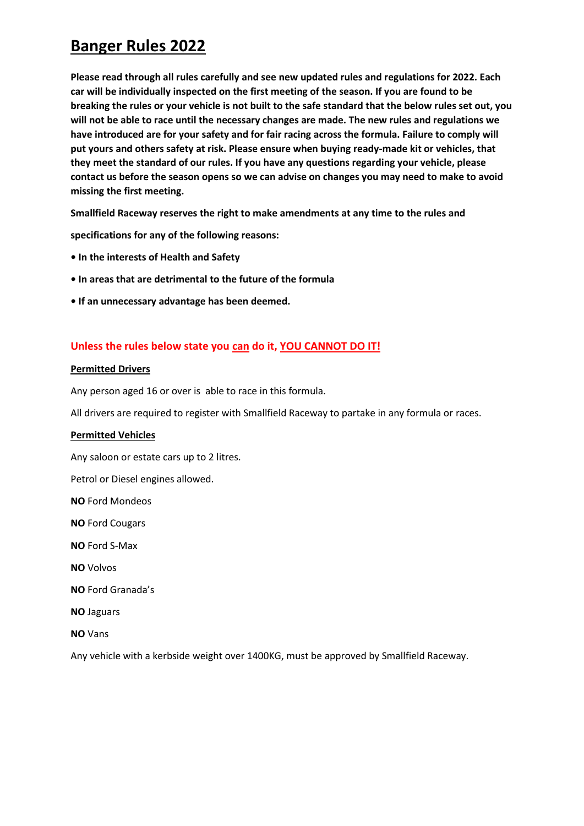**Please read through all rules carefully and see new updated rules and regulations for 2022. Each car will be individually inspected on the first meeting of the season. If you are found to be breaking the rules or your vehicle is not built to the safe standard that the below rules set out, you will not be able to race until the necessary changes are made. The new rules and regulations we have introduced are for your safety and for fair racing across the formula. Failure to comply will put yours and others safety at risk. Please ensure when buying ready-made kit or vehicles, that they meet the standard of our rules. If you have any questions regarding your vehicle, please contact us before the season opens so we can advise on changes you may need to make to avoid missing the first meeting.**

**Smallfield Raceway reserves the right to make amendments at any time to the rules and** 

**specifications for any of the following reasons:** 

- **In the interests of Health and Safety**
- **In areas that are detrimental to the future of the formula**
- **If an unnecessary advantage has been deemed.**

### **Unless the rules below state you can do it, YOU CANNOT DO IT!**

### **Permitted Drivers**

Any person aged 16 or over is able to race in this formula.

All drivers are required to register with Smallfield Raceway to partake in any formula or races.

### **Permitted Vehicles**

Any saloon or estate cars up to 2 litres.

Petrol or Diesel engines allowed.

**NO** Ford Mondeos

**NO** Ford Cougars

**NO** Ford S-Max

**NO** Volvos

**NO** Ford Granada's

**NO** Jaguars

**NO** Vans

Any vehicle with a kerbside weight over 1400KG, must be approved by Smallfield Raceway.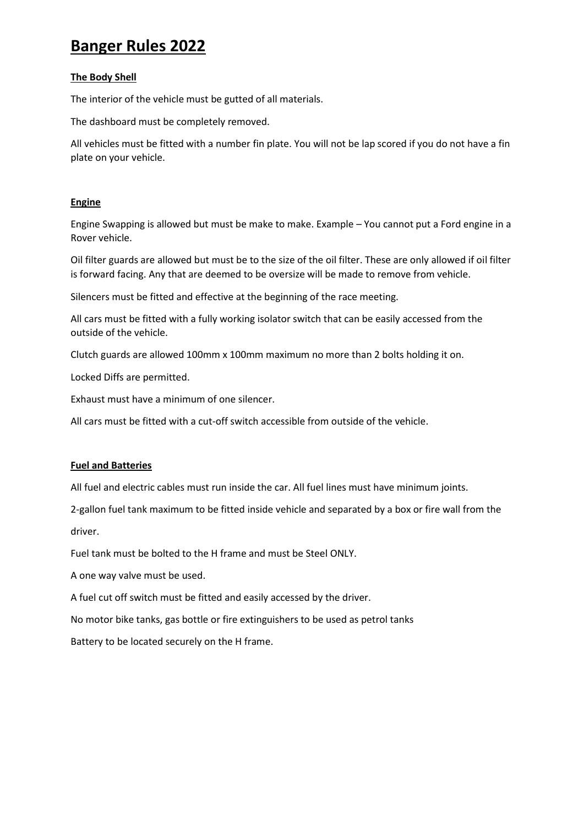### **The Body Shell**

The interior of the vehicle must be gutted of all materials.

The dashboard must be completely removed.

All vehicles must be fitted with a number fin plate. You will not be lap scored if you do not have a fin plate on your vehicle.

### **Engine**

Engine Swapping is allowed but must be make to make. Example – You cannot put a Ford engine in a Rover vehicle.

Oil filter guards are allowed but must be to the size of the oil filter. These are only allowed if oil filter is forward facing. Any that are deemed to be oversize will be made to remove from vehicle.

Silencers must be fitted and effective at the beginning of the race meeting.

All cars must be fitted with a fully working isolator switch that can be easily accessed from the outside of the vehicle.

Clutch guards are allowed 100mm x 100mm maximum no more than 2 bolts holding it on.

Locked Diffs are permitted.

Exhaust must have a minimum of one silencer.

All cars must be fitted with a cut-off switch accessible from outside of the vehicle.

### **Fuel and Batteries**

All fuel and electric cables must run inside the car. All fuel lines must have minimum joints.

2-gallon fuel tank maximum to be fitted inside vehicle and separated by a box or fire wall from the driver.

Fuel tank must be bolted to the H frame and must be Steel ONLY.

A one way valve must be used.

A fuel cut off switch must be fitted and easily accessed by the driver.

No motor bike tanks, gas bottle or fire extinguishers to be used as petrol tanks

Battery to be located securely on the H frame.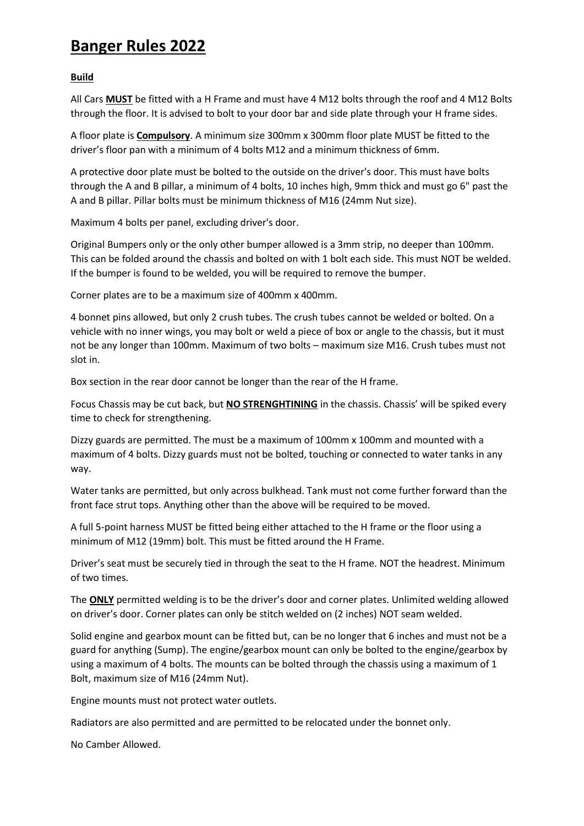### **Build**

All Cars **MUST** be fitted with a H Frame and must have 4 M12 bolts through the roof and 4 M12 Bolts through the floor. It is advised to bolt to your door bar and side plate through your H frame sides.

A floor plate is **Compulsory**. A minimum size 300mm x 300mm floor plate MUST be fitted to the driver's floor pan with a minimum of 4 bolts M12 and a minimum thickness of 6mm.

A protective door plate must be bolted to the outside on the driver's door. This must have bolts through the A and B pillar, a minimum of 4 bolts, 10 inches high, 9mm thick and must go 6" past the A and B pillar. Pillar bolts must be minimum thickness of M16 (24mm Nut size).

Maximum 4 bolts per panel, excluding driver's door.

Original Bumpers only or the only other bumper allowed is a 3mm strip, no deeper than 100mm. This can be folded around the chassis and bolted on with 1 bolt each side. This must NOT be welded. If the bumper is found to be welded, you will be required to remove the bumper.

Corner plates are to be a maximum size of 400mm x 400mm.

4 bonnet pins allowed, but only 2 crush tubes. The crush tubes cannot be welded or bolted. On a vehicle with no inner wings, you may bolt or weld a piece of box or angle to the chassis, but it must not be any longer than 100mm. Maximum of two bolts – maximum size M16. Crush tubes must not slot in.

Box section in the rear door cannot be longer than the rear of the H frame.

Focus Chassis may be cut back, but **NO STRENGHTINING** in the chassis. Chassis' will be spiked every time to check for strengthening.

Dizzy guards are permitted. The must be a maximum of 100mm x 100mm and mounted with a maximum of 4 bolts. Dizzy guards must not be bolted, touching or connected to water tanks in any way.

Water tanks are permitted, but only across bulkhead. Tank must not come further forward than the front face strut tops. Anything other than the above will be required to be moved.

A full 5-point harness MUST be fitted being either attached to the H frame or the floor using a minimum of M12 (19mm) bolt. This must be fitted around the H Frame.

Driver's seat must be securely tied in through the seat to the H frame. NOT the headrest. Minimum of two times.

The **ONLY** permitted welding is to be the driver's door and corner plates. Unlimited welding allowed on driver's door. Corner plates can only be stitch welded on (2 inches) NOT seam welded.

Solid engine and gearbox mount can be fitted but, can be no longer that 6 inches and must not be a guard for anything (Sump). The engine/gearbox mount can only be bolted to the engine/gearbox by using a maximum of 4 bolts. The mounts can be bolted through the chassis using a maximum of 1 Bolt, maximum size of M16 (24mm Nut).

Engine mounts must not protect water outlets.

Radiators are also permitted and are permitted to be relocated under the bonnet only.

No Camber Allowed.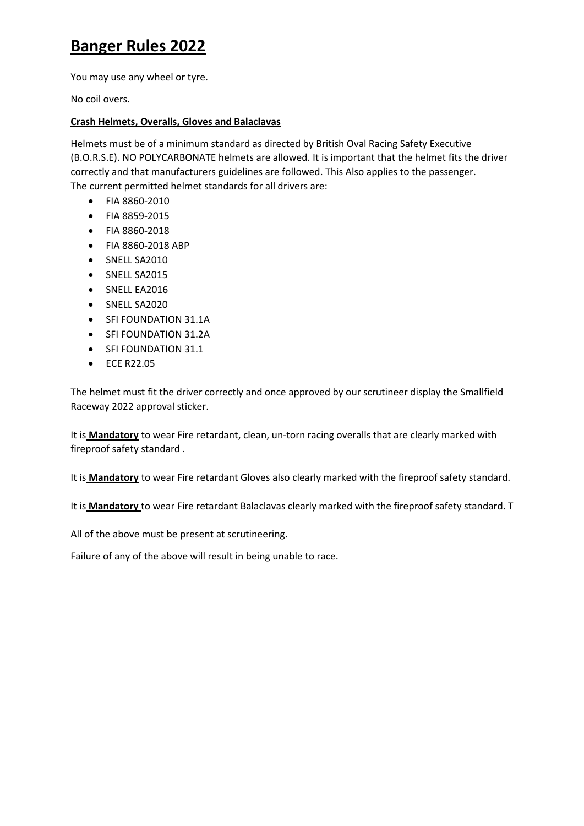You may use any wheel or tyre.

No coil overs.

### **Crash Helmets, Overalls, Gloves and Balaclavas**

Helmets must be of a minimum standard as directed by British Oval Racing Safety Executive (B.O.R.S.E). NO POLYCARBONATE helmets are allowed. It is important that the helmet fits the driver correctly and that manufacturers guidelines are followed. This Also applies to the passenger. The current permitted helmet standards for all drivers are:

- FIA 8860-2010
- FIA 8859-2015
- FIA 8860-2018
- FIA 8860-2018 ABP
- SNELL SA2010
- SNELL SA2015
- SNELL EA2016
- SNELL SA2020
- SFI FOUNDATION 31.1A
- SFI FOUNDATION 31.2A
- SFI FOUNDATION 31.1
- ECE R22.05

The helmet must fit the driver correctly and once approved by our scrutineer display the Smallfield Raceway 2022 approval sticker.

It is **Mandatory** to wear Fire retardant, clean, un-torn racing overalls that are clearly marked with fireproof safety standard .

It is **Mandatory** to wear Fire retardant Gloves also clearly marked with the fireproof safety standard.

It is **Mandatory** to wear Fire retardant Balaclavas clearly marked with the fireproof safety standard. T

All of the above must be present at scrutineering.

Failure of any of the above will result in being unable to race.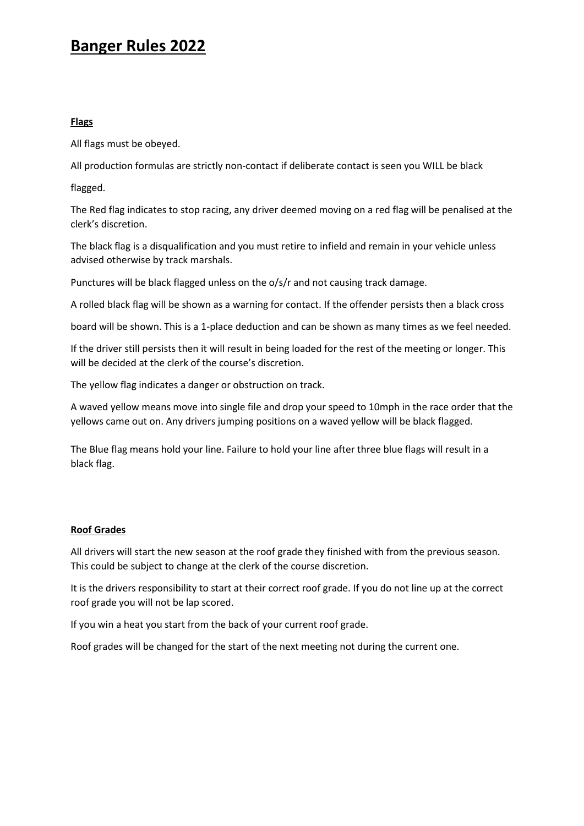### **Flags**

All flags must be obeyed.

All production formulas are strictly non-contact if deliberate contact is seen you WILL be black

flagged.

The Red flag indicates to stop racing, any driver deemed moving on a red flag will be penalised at the clerk's discretion.

The black flag is a disqualification and you must retire to infield and remain in your vehicle unless advised otherwise by track marshals.

Punctures will be black flagged unless on the o/s/r and not causing track damage.

A rolled black flag will be shown as a warning for contact. If the offender persists then a black cross

board will be shown. This is a 1-place deduction and can be shown as many times as we feel needed.

If the driver still persists then it will result in being loaded for the rest of the meeting or longer. This will be decided at the clerk of the course's discretion.

The yellow flag indicates a danger or obstruction on track.

A waved yellow means move into single file and drop your speed to 10mph in the race order that the yellows came out on. Any drivers jumping positions on a waved yellow will be black flagged.

The Blue flag means hold your line. Failure to hold your line after three blue flags will result in a black flag.

### **Roof Grades**

All drivers will start the new season at the roof grade they finished with from the previous season. This could be subject to change at the clerk of the course discretion.

It is the drivers responsibility to start at their correct roof grade. If you do not line up at the correct roof grade you will not be lap scored.

If you win a heat you start from the back of your current roof grade.

Roof grades will be changed for the start of the next meeting not during the current one.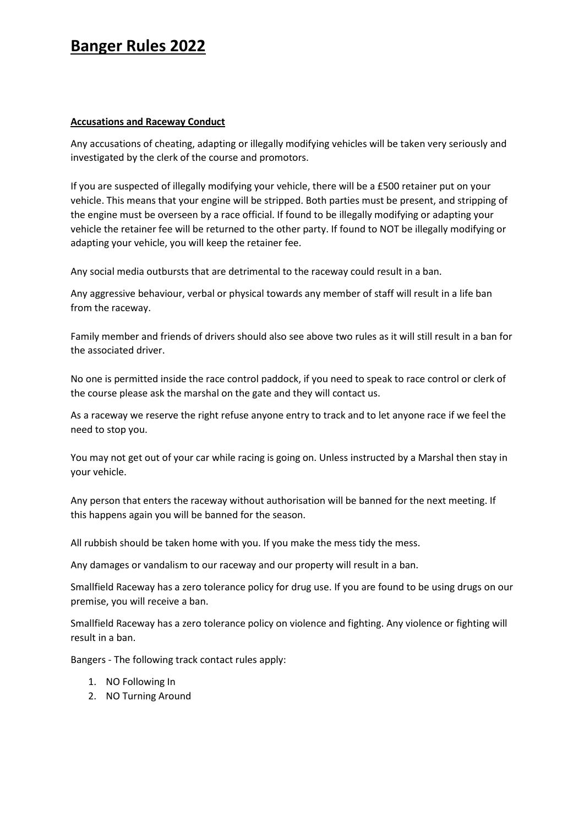### **Accusations and Raceway Conduct**

Any accusations of cheating, adapting or illegally modifying vehicles will be taken very seriously and investigated by the clerk of the course and promotors.

If you are suspected of illegally modifying your vehicle, there will be a £500 retainer put on your vehicle. This means that your engine will be stripped. Both parties must be present, and stripping of the engine must be overseen by a race official. If found to be illegally modifying or adapting your vehicle the retainer fee will be returned to the other party. If found to NOT be illegally modifying or adapting your vehicle, you will keep the retainer fee.

Any social media outbursts that are detrimental to the raceway could result in a ban.

Any aggressive behaviour, verbal or physical towards any member of staff will result in a life ban from the raceway.

Family member and friends of drivers should also see above two rules as it will still result in a ban for the associated driver.

No one is permitted inside the race control paddock, if you need to speak to race control or clerk of the course please ask the marshal on the gate and they will contact us.

As a raceway we reserve the right refuse anyone entry to track and to let anyone race if we feel the need to stop you.

You may not get out of your car while racing is going on. Unless instructed by a Marshal then stay in your vehicle.

Any person that enters the raceway without authorisation will be banned for the next meeting. If this happens again you will be banned for the season.

All rubbish should be taken home with you. If you make the mess tidy the mess.

Any damages or vandalism to our raceway and our property will result in a ban.

Smallfield Raceway has a zero tolerance policy for drug use. If you are found to be using drugs on our premise, you will receive a ban.

Smallfield Raceway has a zero tolerance policy on violence and fighting. Any violence or fighting will result in a ban.

Bangers - The following track contact rules apply:

- 1. NO Following In
- 2. NO Turning Around